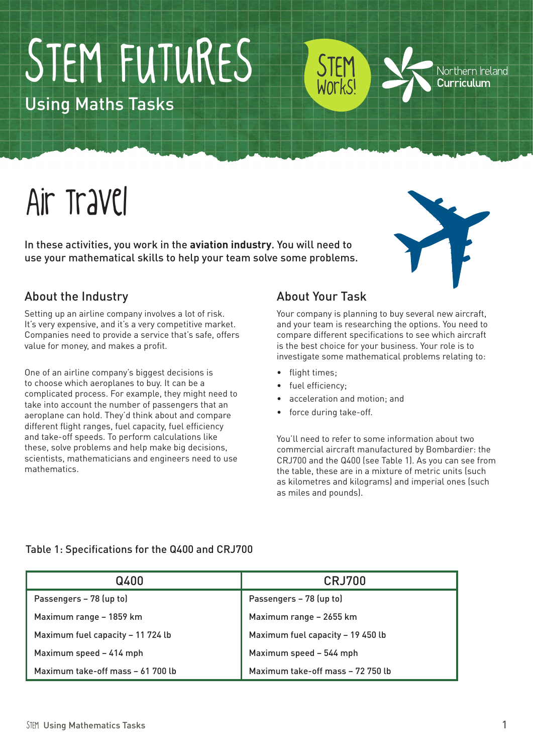# STEM FUTURES

Using Maths Tasks

# Air Travel

In these activities, you work in the **aviation industry**. You will need to use your mathematical skills to help your team solve some problems.

Northern Ireland Curriculum

#### About the Industry

Setting up an airline company involves a lot of risk. It's very expensive, and it's a very competitive market. Companies need to provide a service that's safe, offers value for money, and makes a profit.

One of an airline company's biggest decisions is to choose which aeroplanes to buy. It can be a complicated process. For example, they might need to take into account the number of passengers that an aeroplane can hold. They'd think about and compare different flight ranges, fuel capacity, fuel efficiency and take-off speeds. To perform calculations like these, solve problems and help make big decisions, scientists, mathematicians and engineers need to use mathematics.

#### About Your Task

STEM

Works!

Your company is planning to buy several new aircraft, and your team is researching the options. You need to compare different specifications to see which aircraft is the best choice for your business. Your role is to investigate some mathematical problems relating to:

- flight times:
- fuel efficiency;
- acceleration and motion; and
- force during take-off.

You'll need to refer to some information about two commercial aircraft manufactured by Bombardier: the CRJ700 and the Q400 (see Table 1). As you can see from the table, these are in a mixture of metric units (such as kilometres and kilograms) and imperial ones (such as miles and pounds).

| Q400                              | <b>CRJ700</b>                     |
|-----------------------------------|-----------------------------------|
| Passengers - 78 (up to)           | Passengers - 78 (up to)           |
| Maximum range - 1859 km           | Maximum range - 2655 km           |
| Maximum fuel capacity - 11 724 lb | Maximum fuel capacity - 19 450 lb |
| Maximum speed - 414 mph           | Maximum speed - 544 mph           |
| Maximum take-off mass - 61 700 lb | Maximum take-off mass - 72 750 lb |

#### Table 1: Specifications for the Q400 and CRJ700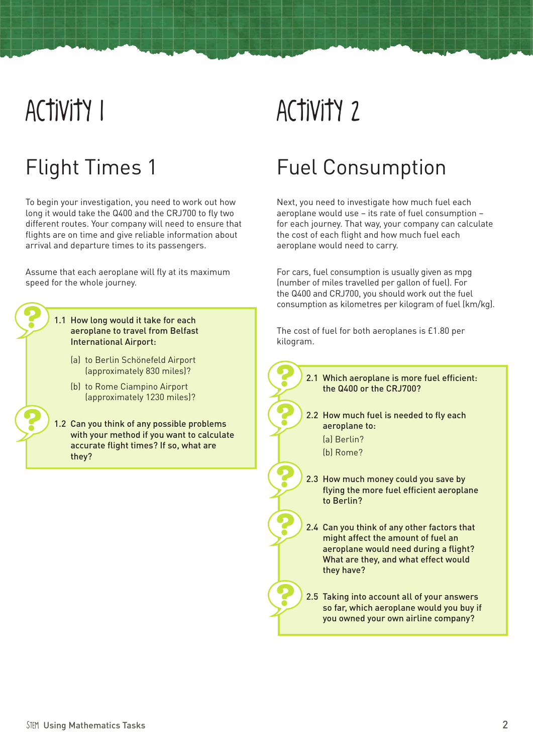# Activity 1

### Flight Times 1

To begin your investigation, you need to work out how long it would take the Q400 and the CRJ700 to fly two different routes. Your company will need to ensure that flights are on time and give reliable information about arrival and departure times to its passengers.

Assume that each aeroplane will fly at its maximum speed for the whole journey.

#### 1.1 How long would it take for each aeroplane to travel from Belfast International Airport:

- (a) to Berlin Schönefeld Airport (approximately 830 miles)?
- (b) to Rome Ciampino Airport (approximately 1230 miles)?
- 1.2 Can you think of any possible problems with your method if you want to calculate accurate flight times? If so, what are they?

# Activity 2

### Fuel Consumption

Next, you need to investigate how much fuel each aeroplane would use – its rate of fuel consumption – for each journey. That way, your company can calculate the cost of each flight and how much fuel each aeroplane would need to carry.

For cars, fuel consumption is usually given as mpg (number of miles travelled per gallon of fuel). For the Q400 and CRJ700, you should work out the fuel consumption as kilometres per kilogram of fuel (km/kg).

The cost of fuel for both aeroplanes is £1.80 per kilogram.

> 2.1 Which aeroplane is more fuel efficient: the Q400 or the CRJ700?

- 2.2 How much fuel is needed to fly each aeroplane to:
	- (a) Berlin?
	- (b) Rome?
- 2.3 How much money could you save by flying the more fuel efficient aeroplane to Berlin?

2.4 Can you think of any other factors that might affect the amount of fuel an aeroplane would need during a flight? What are they, and what effect would they have?

2.5 Taking into account all of your answers so far, which aeroplane would you buy if you owned your own airline company?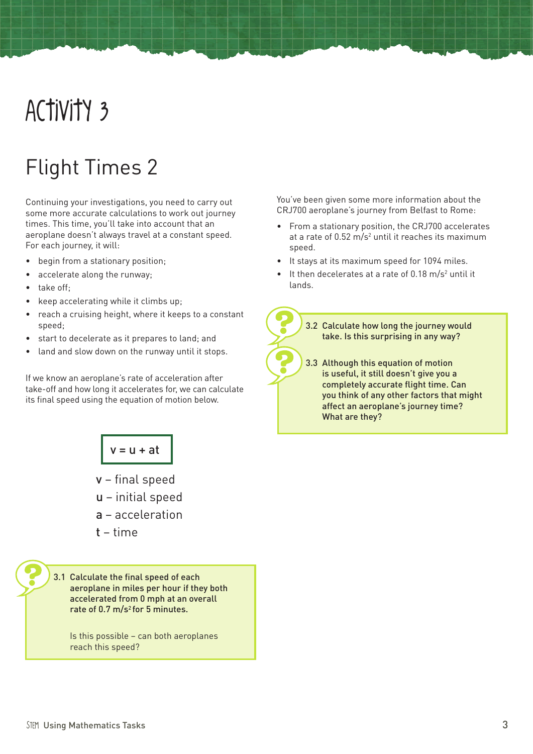# Activity 3

### Flight Times 2

Continuing your investigations, you need to carry out some more accurate calculations to work out journey times. This time, you'll take into account that an aeroplane doesn't always travel at a constant speed. For each journey, it will:

- begin from a stationary position;
- accelerate along the runway;
- take off:
- keep accelerating while it climbs up;
- reach a cruising height, where it keeps to a constant speed;
- start to decelerate as it prepares to land; and
- land and slow down on the runway until it stops.

If we know an aeroplane's rate of acceleration after take-off and how long it accelerates for, we can calculate its final speed using the equation of motion below.

 $v = u + at$ 

v – final speed

- u initial speed
- a acceleration
- t time

3.1 Calculate the final speed of each aeroplane in miles per hour if they both accelerated from 0 mph at an overall rate of  $0.7 \text{ m/s}^2$  for 5 minutes.

Is this possible – can both aeroplanes reach this speed?

You've been given some more information about the CRJ700 aeroplane's journey from Belfast to Rome:

- • From a stationary position, the CRJ700 accelerates at a rate of  $0.52 \text{ m/s}^2$  until it reaches its maximum speed.
- It stays at its maximum speed for 1094 miles.
- It then decelerates at a rate of  $0.18 \text{ m/s}^2$  until it lands.

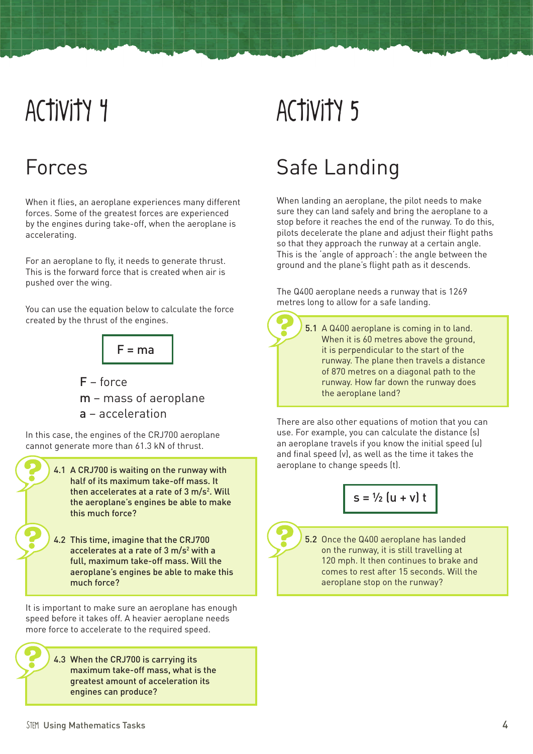# Activity 4

### Forces

When it flies, an aeroplane experiences many different forces. Some of the greatest forces are experienced by the engines during take-off, when the aeroplane is accelerating.

For an aeroplane to fly, it needs to generate thrust. This is the forward force that is created when air is pushed over the wing.

You can use the equation below to calculate the force created by the thrust of the engines.



- F force m – mass of aeroplane
- a acceleration

In this case, the engines of the CRJ700 aeroplane cannot generate more than 61.3 kN of thrust.

- 4.1 A CRJ700 is waiting on the runway with half of its maximum take-off mass. It then accelerates at a rate of 3 m/s<sup>2</sup>. Will the aeroplane's engines be able to make this much force?
	- 4.2 This time, imagine that the CRJ700 accelerates at a rate of 3 m/s<sup>2</sup> with a full, maximum take-off mass. Will the aeroplane's engines be able to make this much force?

It is important to make sure an aeroplane has enough speed before it takes off. A heavier aeroplane needs more force to accelerate to the required speed.

> 4.3 When the CRJ700 is carrying its maximum take-off mass, what is the greatest amount of acceleration its engines can produce?

# Activity 5

### Safe Landing

When landing an aeroplane, the pilot needs to make sure they can land safely and bring the aeroplane to a stop before it reaches the end of the runway. To do this, pilots decelerate the plane and adjust their flight paths so that they approach the runway at a certain angle. This is the 'angle of approach': the angle between the ground and the plane's flight path as it descends.

The Q400 aeroplane needs a runway that is 1269 metres long to allow for a safe landing.

> 5.1 A Q400 aeroplane is coming in to land. When it is 60 metres above the ground. it is perpendicular to the start of the runway. The plane then travels a distance of 870 metres on a diagonal path to the runway. How far down the runway does the aeroplane land?

There are also other equations of motion that you can use. For example, you can calculate the distance (s) an aeroplane travels if you know the initial speed (u) and final speed (v), as well as the time it takes the aeroplane to change speeds (t).

$$
s = \frac{1}{2} \left( u + v \right) t
$$

5.2 Once the Q400 aeroplane has landed on the runway, it is still travelling at 120 mph. It then continues to brake and comes to rest after 15 seconds. Will the aeroplane stop on the runway?